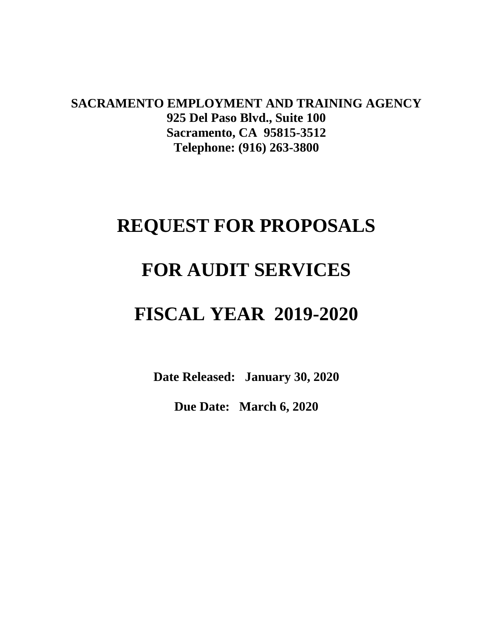**SACRAMENTO EMPLOYMENT AND TRAINING AGENCY 925 Del Paso Blvd., Suite 100 Sacramento, CA 95815-3512 Telephone: (916) 263-3800**

# **REQUEST FOR PROPOSALS**

# **FOR AUDIT SERVICES**

# **FISCAL YEAR 2019-2020**

**Date Released: January 30, 2020**

**Due Date: March 6, 2020**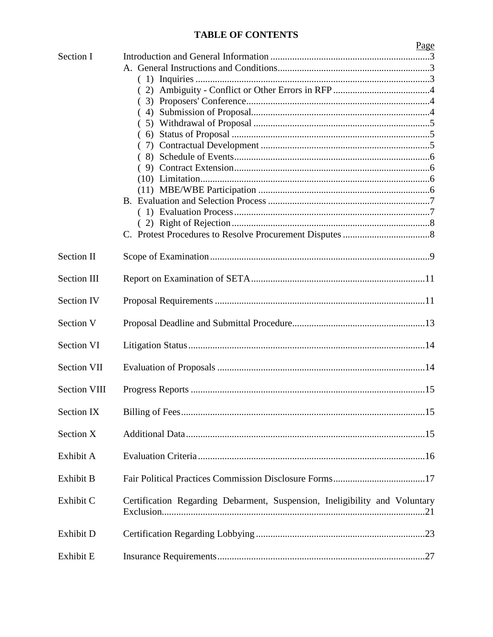# **TABLE OF CONTENTS**

|                     |                                                                            | Page |
|---------------------|----------------------------------------------------------------------------|------|
| Section I           |                                                                            |      |
|                     |                                                                            |      |
|                     |                                                                            |      |
|                     | (2)                                                                        |      |
|                     | (3)                                                                        |      |
|                     | 4)                                                                         |      |
|                     |                                                                            |      |
|                     | (6)                                                                        |      |
|                     | 7)                                                                         |      |
|                     | 8)                                                                         |      |
|                     |                                                                            |      |
|                     |                                                                            |      |
|                     |                                                                            |      |
|                     |                                                                            |      |
|                     |                                                                            |      |
|                     |                                                                            |      |
|                     |                                                                            |      |
|                     |                                                                            |      |
| <b>Section II</b>   |                                                                            |      |
|                     |                                                                            |      |
| <b>Section III</b>  |                                                                            |      |
|                     |                                                                            |      |
| <b>Section IV</b>   |                                                                            |      |
|                     |                                                                            |      |
| Section V           |                                                                            |      |
|                     |                                                                            |      |
| Section VI          |                                                                            |      |
|                     |                                                                            |      |
| <b>Section VII</b>  |                                                                            |      |
|                     |                                                                            |      |
|                     |                                                                            |      |
| <b>Section VIII</b> |                                                                            |      |
|                     |                                                                            |      |
| Section IX          |                                                                            |      |
|                     |                                                                            |      |
| Section X           |                                                                            |      |
|                     |                                                                            |      |
| Exhibit A           |                                                                            |      |
|                     |                                                                            |      |
| Exhibit B           |                                                                            |      |
|                     |                                                                            |      |
| Exhibit C           | Certification Regarding Debarment, Suspension, Ineligibility and Voluntary |      |
|                     |                                                                            |      |
|                     |                                                                            |      |
| <b>Exhibit D</b>    |                                                                            |      |
|                     |                                                                            |      |
| Exhibit E           |                                                                            |      |
|                     |                                                                            |      |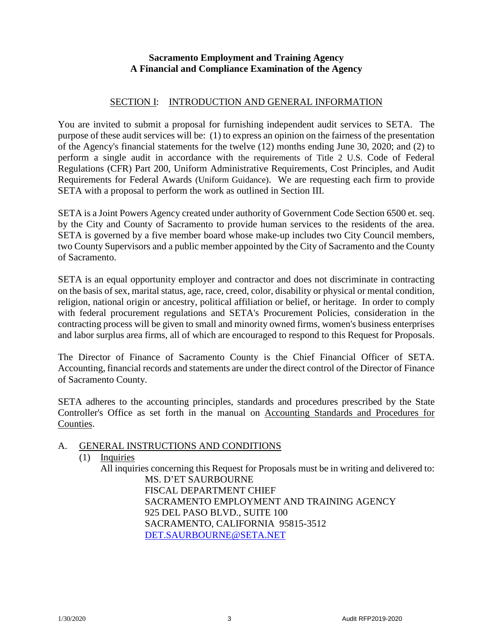# **Sacramento Employment and Training Agency A Financial and Compliance Examination of the Agency**

# SECTION I: INTRODUCTION AND GENERAL INFORMATION

You are invited to submit a proposal for furnishing independent audit services to SETA. The purpose of these audit services will be: (1) to express an opinion on the fairness of the presentation of the Agency's financial statements for the twelve (12) months ending June 30, 2020; and (2) to perform a single audit in accordance with the requirements of Title 2 U.S. Code of Federal Regulations (CFR) Part 200, Uniform Administrative Requirements, Cost Principles, and Audit Requirements for Federal Awards (Uniform Guidance). We are requesting each firm to provide SETA with a proposal to perform the work as outlined in Section III.

SETA is a Joint Powers Agency created under authority of Government Code Section 6500 et. seq. by the City and County of Sacramento to provide human services to the residents of the area. SETA is governed by a five member board whose make-up includes two City Council members, two County Supervisors and a public member appointed by the City of Sacramento and the County of Sacramento.

SETA is an equal opportunity employer and contractor and does not discriminate in contracting on the basis of sex, marital status, age, race, creed, color, disability or physical or mental condition, religion, national origin or ancestry, political affiliation or belief, or heritage. In order to comply with federal procurement regulations and SETA's Procurement Policies, consideration in the contracting process will be given to small and minority owned firms, women's business enterprises and labor surplus area firms, all of which are encouraged to respond to this Request for Proposals.

The Director of Finance of Sacramento County is the Chief Financial Officer of SETA. Accounting, financial records and statements are under the direct control of the Director of Finance of Sacramento County.

SETA adheres to the accounting principles, standards and procedures prescribed by the State Controller's Office as set forth in the manual on Accounting Standards and Procedures for Counties.

# A. GENERAL INSTRUCTIONS AND CONDITIONS

(1) Inquiries

All inquiries concerning this Request for Proposals must be in writing and delivered to: MS. D'ET SAURBOURNE FISCAL DEPARTMENT CHIEF SACRAMENTO EMPLOYMENT AND TRAINING AGENCY 925 DEL PASO BLVD., SUITE 100 SACRAMENTO, CALIFORNIA 95815-3512 [DET.SAURBOURNE@SETA.NET](mailto:DET.SAURBOURNE@SETA.NET)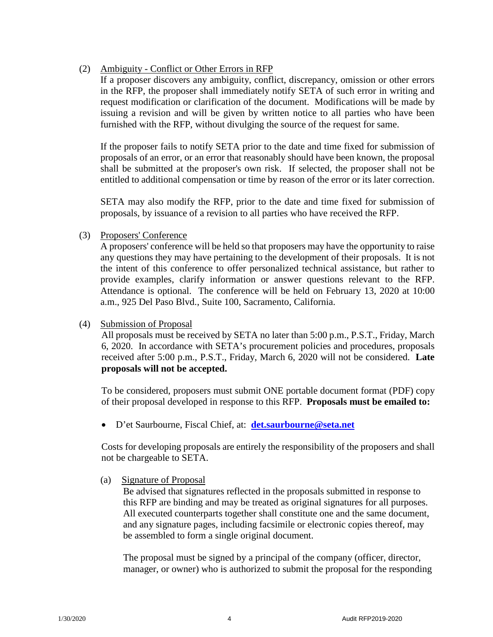# (2) Ambiguity - Conflict or Other Errors in RFP

If a proposer discovers any ambiguity, conflict, discrepancy, omission or other errors in the RFP, the proposer shall immediately notify SETA of such error in writing and request modification or clarification of the document. Modifications will be made by issuing a revision and will be given by written notice to all parties who have been furnished with the RFP, without divulging the source of the request for same.

If the proposer fails to notify SETA prior to the date and time fixed for submission of proposals of an error, or an error that reasonably should have been known, the proposal shall be submitted at the proposer's own risk. If selected, the proposer shall not be entitled to additional compensation or time by reason of the error or its later correction.

SETA may also modify the RFP, prior to the date and time fixed for submission of proposals, by issuance of a revision to all parties who have received the RFP.

# (3) Proposers' Conference

A proposers' conference will be held so that proposers may have the opportunity to raise any questions they may have pertaining to the development of their proposals. It is not the intent of this conference to offer personalized technical assistance, but rather to provide examples, clarify information or answer questions relevant to the RFP. Attendance is optional. The conference will be held on February 13, 2020 at 10:00 a.m., 925 Del Paso Blvd., Suite 100, Sacramento, California.

### (4) Submission of Proposal

All proposals must be received by SETA no later than 5:00 p.m., P.S.T., Friday, March 6, 2020. In accordance with SETA's procurement policies and procedures, proposals received after 5:00 p.m., P.S.T., Friday, March 6, 2020 will not be considered. **Late proposals will not be accepted.** 

To be considered, proposers must submit ONE portable document format (PDF) copy of their proposal developed in response to this RFP. **Proposals must be emailed to:**

• D'et Saurbourne, Fiscal Chief, at: **[det.saurbourne@seta.net](mailto:det.saurbourne@seta.net)**

Costs for developing proposals are entirely the responsibility of the proposers and shall not be chargeable to SETA.

# (a) Signature of Proposal

Be advised that signatures reflected in the proposals submitted in response to this RFP are binding and may be treated as original signatures for all purposes. All executed counterparts together shall constitute one and the same document, and any signature pages, including facsimile or electronic copies thereof, may be assembled to form a single original document.

The proposal must be signed by a principal of the company (officer, director, manager, or owner) who is authorized to submit the proposal for the responding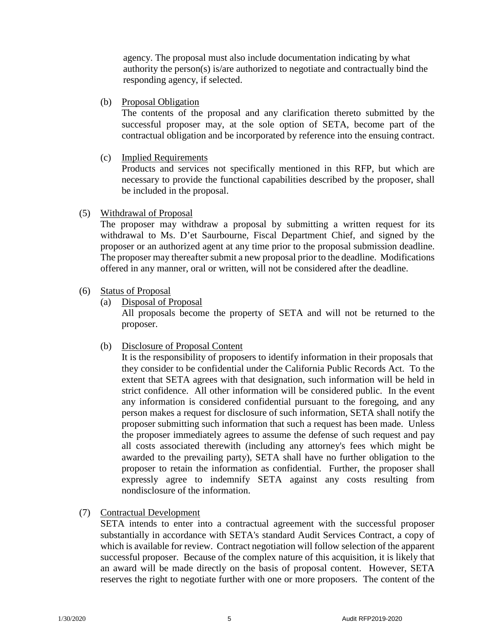agency. The proposal must also include documentation indicating by what authority the person(s) is/are authorized to negotiate and contractually bind the responding agency, if selected.

(b) Proposal Obligation

The contents of the proposal and any clarification thereto submitted by the successful proposer may, at the sole option of SETA, become part of the contractual obligation and be incorporated by reference into the ensuing contract.

(c) Implied Requirements

Products and services not specifically mentioned in this RFP, but which are necessary to provide the functional capabilities described by the proposer, shall be included in the proposal.

(5) Withdrawal of Proposal

The proposer may withdraw a proposal by submitting a written request for its withdrawal to Ms. D'et Saurbourne, Fiscal Department Chief, and signed by the proposer or an authorized agent at any time prior to the proposal submission deadline. The proposer may thereafter submit a new proposal prior to the deadline. Modifications offered in any manner, oral or written, will not be considered after the deadline.

# (6) Status of Proposal

(a) Disposal of Proposal

All proposals become the property of SETA and will not be returned to the proposer.

(b) Disclosure of Proposal Content

It is the responsibility of proposers to identify information in their proposals that they consider to be confidential under the California Public Records Act. To the extent that SETA agrees with that designation, such information will be held in strict confidence. All other information will be considered public. In the event any information is considered confidential pursuant to the foregoing, and any person makes a request for disclosure of such information, SETA shall notify the proposer submitting such information that such a request has been made. Unless the proposer immediately agrees to assume the defense of such request and pay all costs associated therewith (including any attorney's fees which might be awarded to the prevailing party), SETA shall have no further obligation to the proposer to retain the information as confidential. Further, the proposer shall expressly agree to indemnify SETA against any costs resulting from nondisclosure of the information.

(7) Contractual Development

SETA intends to enter into a contractual agreement with the successful proposer substantially in accordance with SETA's standard Audit Services Contract, a copy of which is available for review. Contract negotiation will follow selection of the apparent successful proposer. Because of the complex nature of this acquisition, it is likely that an award will be made directly on the basis of proposal content. However, SETA reserves the right to negotiate further with one or more proposers. The content of the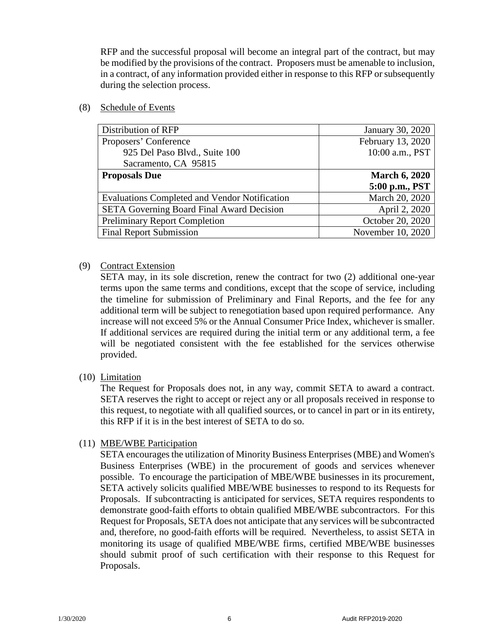RFP and the successful proposal will become an integral part of the contract, but may be modified by the provisions of the contract. Proposers must be amenable to inclusion, in a contract, of any information provided either in response to this RFP or subsequently during the selection process.

#### (8) Schedule of Events

| Distribution of RFP                                  | January 30, 2020     |
|------------------------------------------------------|----------------------|
| Proposers' Conference                                | February 13, 2020    |
| 925 Del Paso Blvd., Suite 100                        | 10:00 a.m., PST      |
| Sacramento, CA 95815                                 |                      |
| <b>Proposals Due</b>                                 | <b>March 6, 2020</b> |
|                                                      | 5:00 p.m., PST       |
| <b>Evaluations Completed and Vendor Notification</b> | March 20, 2020       |
| <b>SETA Governing Board Final Award Decision</b>     | April 2, 2020        |
| <b>Preliminary Report Completion</b>                 | October 20, 2020     |
| <b>Final Report Submission</b>                       | November 10, 2020    |

### (9) Contract Extension

SETA may, in its sole discretion, renew the contract for two (2) additional one-year terms upon the same terms and conditions, except that the scope of service, including the timeline for submission of Preliminary and Final Reports, and the fee for any additional term will be subject to renegotiation based upon required performance. Any increase will not exceed 5% or the Annual Consumer Price Index, whichever is smaller. If additional services are required during the initial term or any additional term, a fee will be negotiated consistent with the fee established for the services otherwise provided.

(10) Limitation

The Request for Proposals does not, in any way, commit SETA to award a contract. SETA reserves the right to accept or reject any or all proposals received in response to this request, to negotiate with all qualified sources, or to cancel in part or in its entirety, this RFP if it is in the best interest of SETA to do so.

# (11) MBE/WBE Participation

SETA encourages the utilization of Minority Business Enterprises (MBE) and Women's Business Enterprises (WBE) in the procurement of goods and services whenever possible. To encourage the participation of MBE/WBE businesses in its procurement, SETA actively solicits qualified MBE/WBE businesses to respond to its Requests for Proposals. If subcontracting is anticipated for services, SETA requires respondents to demonstrate good-faith efforts to obtain qualified MBE/WBE subcontractors. For this Request for Proposals, SETA does not anticipate that any services will be subcontracted and, therefore, no good-faith efforts will be required. Nevertheless, to assist SETA in monitoring its usage of qualified MBE/WBE firms, certified MBE/WBE businesses should submit proof of such certification with their response to this Request for Proposals.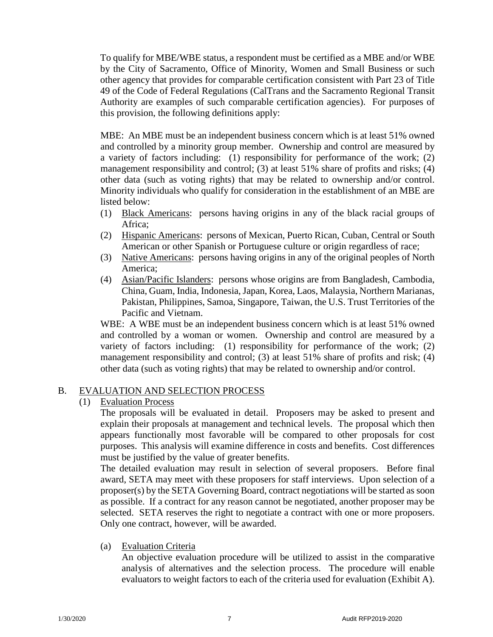To qualify for MBE/WBE status, a respondent must be certified as a MBE and/or WBE by the City of Sacramento, Office of Minority, Women and Small Business or such other agency that provides for comparable certification consistent with Part 23 of Title 49 of the Code of Federal Regulations (CalTrans and the Sacramento Regional Transit Authority are examples of such comparable certification agencies). For purposes of this provision, the following definitions apply:

MBE: An MBE must be an independent business concern which is at least 51% owned and controlled by a minority group member. Ownership and control are measured by a variety of factors including: (1) responsibility for performance of the work; (2) management responsibility and control; (3) at least 51% share of profits and risks; (4) other data (such as voting rights) that may be related to ownership and/or control. Minority individuals who qualify for consideration in the establishment of an MBE are listed below:

- (1) Black Americans: persons having origins in any of the black racial groups of Africa;
- (2) Hispanic Americans: persons of Mexican, Puerto Rican, Cuban, Central or South American or other Spanish or Portuguese culture or origin regardless of race;
- (3) Native Americans: persons having origins in any of the original peoples of North America;
- (4) Asian/Pacific Islanders: persons whose origins are from Bangladesh, Cambodia, China, Guam, India, Indonesia, Japan, Korea, Laos, Malaysia, Northern Marianas, Pakistan, Philippines, Samoa, Singapore, Taiwan, the U.S. Trust Territories of the Pacific and Vietnam.

WBE: A WBE must be an independent business concern which is at least 51% owned and controlled by a woman or women. Ownership and control are measured by a variety of factors including: (1) responsibility for performance of the work; (2) management responsibility and control; (3) at least 51% share of profits and risk; (4) other data (such as voting rights) that may be related to ownership and/or control.

#### B. EVALUATION AND SELECTION PROCESS

# (1) Evaluation Process

The proposals will be evaluated in detail. Proposers may be asked to present and explain their proposals at management and technical levels. The proposal which then appears functionally most favorable will be compared to other proposals for cost purposes. This analysis will examine difference in costs and benefits. Cost differences must be justified by the value of greater benefits.

The detailed evaluation may result in selection of several proposers. Before final award, SETA may meet with these proposers for staff interviews. Upon selection of a proposer(s) by the SETA Governing Board, contract negotiations will be started as soon as possible. If a contract for any reason cannot be negotiated, another proposer may be selected. SETA reserves the right to negotiate a contract with one or more proposers. Only one contract, however, will be awarded.

#### (a) Evaluation Criteria

An objective evaluation procedure will be utilized to assist in the comparative analysis of alternatives and the selection process. The procedure will enable evaluators to weight factors to each of the criteria used for evaluation (Exhibit A).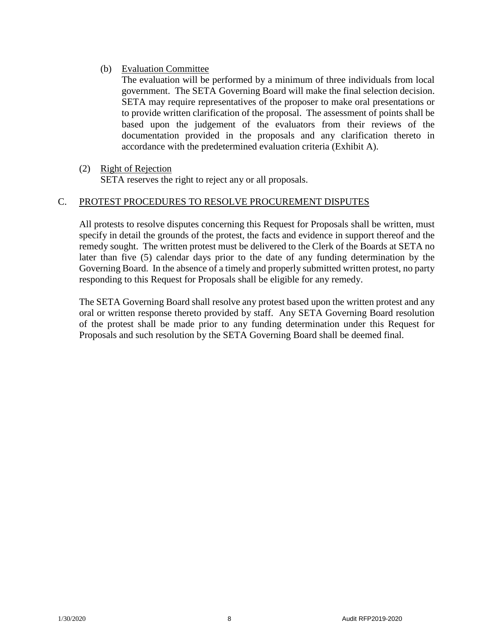# (b) Evaluation Committee

The evaluation will be performed by a minimum of three individuals from local government. The SETA Governing Board will make the final selection decision. SETA may require representatives of the proposer to make oral presentations or to provide written clarification of the proposal. The assessment of points shall be based upon the judgement of the evaluators from their reviews of the documentation provided in the proposals and any clarification thereto in accordance with the predetermined evaluation criteria (Exhibit A).

# (2) Right of Rejection

SETA reserves the right to reject any or all proposals.

### C. PROTEST PROCEDURES TO RESOLVE PROCUREMENT DISPUTES

All protests to resolve disputes concerning this Request for Proposals shall be written, must specify in detail the grounds of the protest, the facts and evidence in support thereof and the remedy sought. The written protest must be delivered to the Clerk of the Boards at SETA no later than five (5) calendar days prior to the date of any funding determination by the Governing Board. In the absence of a timely and properly submitted written protest, no party responding to this Request for Proposals shall be eligible for any remedy.

The SETA Governing Board shall resolve any protest based upon the written protest and any oral or written response thereto provided by staff. Any SETA Governing Board resolution of the protest shall be made prior to any funding determination under this Request for Proposals and such resolution by the SETA Governing Board shall be deemed final.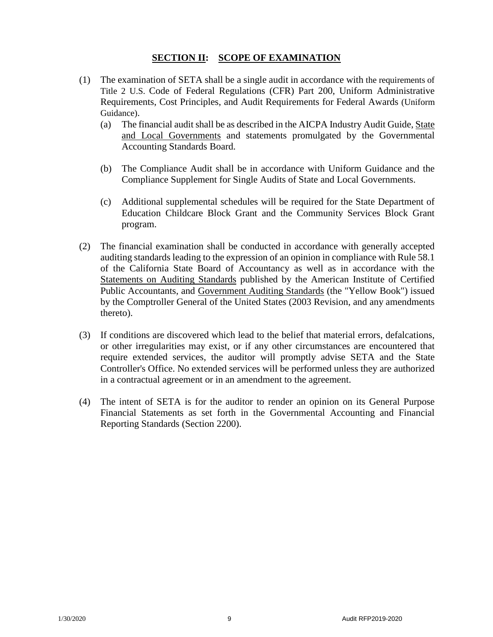# **SECTION II: SCOPE OF EXAMINATION**

- (1) The examination of SETA shall be a single audit in accordance with the requirements of Title 2 U.S. Code of Federal Regulations (CFR) Part 200, Uniform Administrative Requirements, Cost Principles, and Audit Requirements for Federal Awards (Uniform Guidance).
	- (a) The financial audit shall be as described in the AICPA Industry Audit Guide, State and Local Governments and statements promulgated by the Governmental Accounting Standards Board.
	- (b) The Compliance Audit shall be in accordance with Uniform Guidance and the Compliance Supplement for Single Audits of State and Local Governments.
	- (c) Additional supplemental schedules will be required for the State Department of Education Childcare Block Grant and the Community Services Block Grant program.
- (2) The financial examination shall be conducted in accordance with generally accepted auditing standards leading to the expression of an opinion in compliance with Rule 58.1 of the California State Board of Accountancy as well as in accordance with the Statements on Auditing Standards published by the American Institute of Certified Public Accountants, and Government Auditing Standards (the "Yellow Book") issued by the Comptroller General of the United States (2003 Revision, and any amendments thereto).
- (3) If conditions are discovered which lead to the belief that material errors, defalcations, or other irregularities may exist, or if any other circumstances are encountered that require extended services, the auditor will promptly advise SETA and the State Controller's Office. No extended services will be performed unless they are authorized in a contractual agreement or in an amendment to the agreement.
- (4) The intent of SETA is for the auditor to render an opinion on its General Purpose Financial Statements as set forth in the Governmental Accounting and Financial Reporting Standards (Section 2200).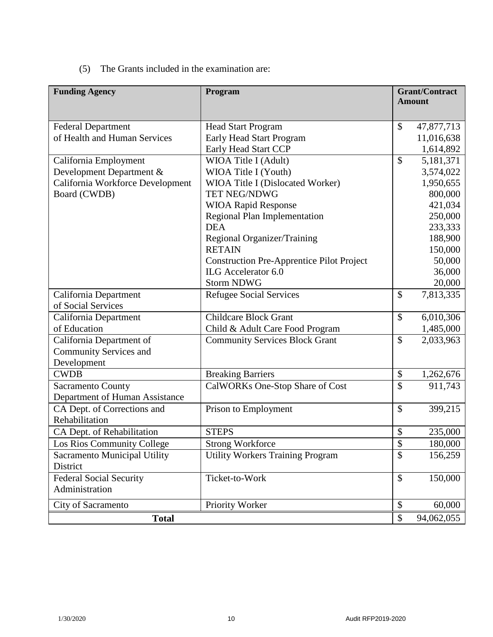| <b>Funding Agency</b>               | Program                                          |                           | <b>Grant/Contract</b><br><b>Amount</b> |  |
|-------------------------------------|--------------------------------------------------|---------------------------|----------------------------------------|--|
|                                     |                                                  |                           |                                        |  |
| <b>Federal Department</b>           | <b>Head Start Program</b>                        | \$                        | 47,877,713                             |  |
| of Health and Human Services        | <b>Early Head Start Program</b>                  |                           | 11,016,638                             |  |
|                                     | Early Head Start CCP                             |                           | 1,614,892                              |  |
| California Employment               | WIOA Title I (Adult)                             | \$                        | 5,181,371                              |  |
| Development Department &            | WIOA Title I (Youth)                             |                           | 3,574,022                              |  |
| California Workforce Development    | <b>WIOA Title I (Dislocated Worker)</b>          |                           | 1,950,655                              |  |
| Board (CWDB)                        | <b>TET NEG/NDWG</b>                              |                           | 800,000                                |  |
|                                     | <b>WIOA Rapid Response</b>                       |                           | 421,034                                |  |
|                                     | Regional Plan Implementation                     |                           | 250,000                                |  |
|                                     | <b>DEA</b>                                       |                           | 233,333                                |  |
|                                     | Regional Organizer/Training                      |                           | 188,900                                |  |
|                                     | <b>RETAIN</b>                                    |                           | 150,000                                |  |
|                                     | <b>Construction Pre-Apprentice Pilot Project</b> |                           | 50,000                                 |  |
|                                     | ILG Accelerator 6.0                              |                           | 36,000                                 |  |
|                                     | <b>Storm NDWG</b>                                |                           | 20,000                                 |  |
| California Department               | <b>Refugee Social Services</b>                   | \$                        | 7,813,335                              |  |
| of Social Services                  |                                                  |                           |                                        |  |
| California Department               | <b>Childcare Block Grant</b>                     | \$                        | 6,010,306                              |  |
| of Education                        | Child & Adult Care Food Program                  |                           | 1,485,000                              |  |
| California Department of            | <b>Community Services Block Grant</b>            | \$                        | 2,033,963                              |  |
| <b>Community Services and</b>       |                                                  |                           |                                        |  |
| Development                         |                                                  |                           |                                        |  |
| <b>CWDB</b>                         | <b>Breaking Barriers</b>                         | $\boldsymbol{\mathsf{S}}$ | 1,262,676                              |  |
| <b>Sacramento County</b>            | CalWORKs One-Stop Share of Cost                  | \$                        | 911,743                                |  |
| Department of Human Assistance      |                                                  |                           |                                        |  |
| CA Dept. of Corrections and         | Prison to Employment                             | \$                        | 399,215                                |  |
| Rehabilitation                      |                                                  |                           |                                        |  |
| CA Dept. of Rehabilitation          | <b>STEPS</b>                                     | \$                        | 235,000                                |  |
| Los Rios Community College          | <b>Strong Workforce</b>                          | $\overline{\$}$           | 180,000                                |  |
| <b>Sacramento Municipal Utility</b> | <b>Utility Workers Training Program</b>          | \$                        | 156,259                                |  |
| District                            |                                                  |                           |                                        |  |
| <b>Federal Social Security</b>      | Ticket-to-Work                                   | \$                        | 150,000                                |  |
| Administration                      |                                                  |                           |                                        |  |
| City of Sacramento                  | Priority Worker                                  | $\boldsymbol{\mathsf{S}}$ | 60,000                                 |  |
| <b>Total</b>                        | \$                                               | 94,062,055                |                                        |  |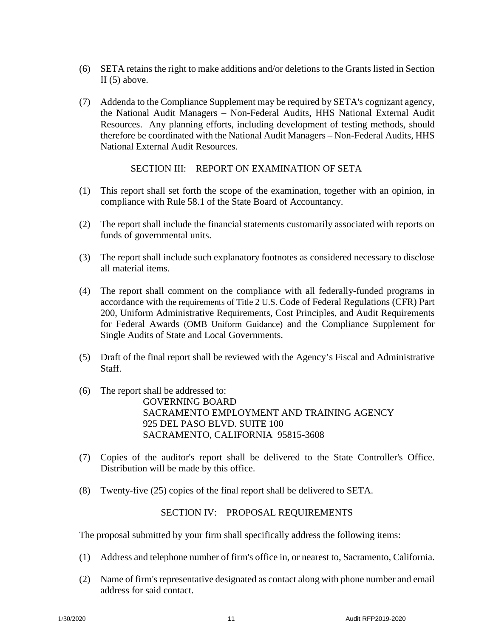- (6) SETA retains the right to make additions and/or deletions to the Grants listed in Section II $(5)$  above.
- (7) Addenda to the Compliance Supplement may be required by SETA's cognizant agency, the National Audit Managers – Non-Federal Audits, HHS National External Audit Resources. Any planning efforts, including development of testing methods, should therefore be coordinated with the National Audit Managers – Non-Federal Audits, HHS National External Audit Resources.

### SECTION III: REPORT ON EXAMINATION OF SETA

- (1) This report shall set forth the scope of the examination, together with an opinion, in compliance with Rule 58.1 of the State Board of Accountancy.
- (2) The report shall include the financial statements customarily associated with reports on funds of governmental units.
- (3) The report shall include such explanatory footnotes as considered necessary to disclose all material items.
- (4) The report shall comment on the compliance with all federally-funded programs in accordance with the requirements of Title 2 U.S. Code of Federal Regulations (CFR) Part 200, Uniform Administrative Requirements, Cost Principles, and Audit Requirements for Federal Awards (OMB Uniform Guidance) and the Compliance Supplement for Single Audits of State and Local Governments.
- (5) Draft of the final report shall be reviewed with the Agency's Fiscal and Administrative Staff.
- (6) The report shall be addressed to: GOVERNING BOARD SACRAMENTO EMPLOYMENT AND TRAINING AGENCY 925 DEL PASO BLVD. SUITE 100 SACRAMENTO, CALIFORNIA 95815-3608
- (7) Copies of the auditor's report shall be delivered to the State Controller's Office. Distribution will be made by this office.
- (8) Twenty-five (25) copies of the final report shall be delivered to SETA.

#### SECTION IV: PROPOSAL REQUIREMENTS

The proposal submitted by your firm shall specifically address the following items:

- (1) Address and telephone number of firm's office in, or nearest to, Sacramento, California.
- (2) Name of firm's representative designated as contact along with phone number and email address for said contact.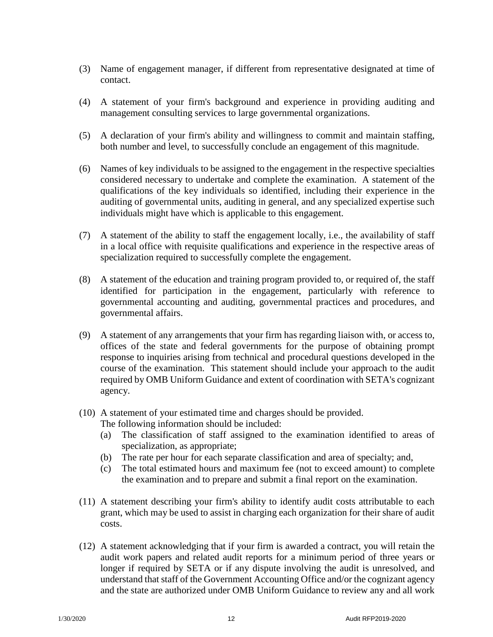- (3) Name of engagement manager, if different from representative designated at time of contact.
- (4) A statement of your firm's background and experience in providing auditing and management consulting services to large governmental organizations.
- (5) A declaration of your firm's ability and willingness to commit and maintain staffing, both number and level, to successfully conclude an engagement of this magnitude.
- (6) Names of key individuals to be assigned to the engagement in the respective specialties considered necessary to undertake and complete the examination. A statement of the qualifications of the key individuals so identified, including their experience in the auditing of governmental units, auditing in general, and any specialized expertise such individuals might have which is applicable to this engagement.
- (7) A statement of the ability to staff the engagement locally, i.e., the availability of staff in a local office with requisite qualifications and experience in the respective areas of specialization required to successfully complete the engagement.
- (8) A statement of the education and training program provided to, or required of, the staff identified for participation in the engagement, particularly with reference to governmental accounting and auditing, governmental practices and procedures, and governmental affairs.
- (9) A statement of any arrangements that your firm has regarding liaison with, or access to, offices of the state and federal governments for the purpose of obtaining prompt response to inquiries arising from technical and procedural questions developed in the course of the examination. This statement should include your approach to the audit required by OMB Uniform Guidance and extent of coordination with SETA's cognizant agency.
- (10) A statement of your estimated time and charges should be provided.
	- The following information should be included:
	- (a) The classification of staff assigned to the examination identified to areas of specialization, as appropriate;
	- (b) The rate per hour for each separate classification and area of specialty; and,
	- (c) The total estimated hours and maximum fee (not to exceed amount) to complete the examination and to prepare and submit a final report on the examination.
- (11) A statement describing your firm's ability to identify audit costs attributable to each grant, which may be used to assist in charging each organization for their share of audit costs.
- (12) A statement acknowledging that if your firm is awarded a contract, you will retain the audit work papers and related audit reports for a minimum period of three years or longer if required by SETA or if any dispute involving the audit is unresolved, and understand that staff of the Government Accounting Office and/or the cognizant agency and the state are authorized under OMB Uniform Guidance to review any and all work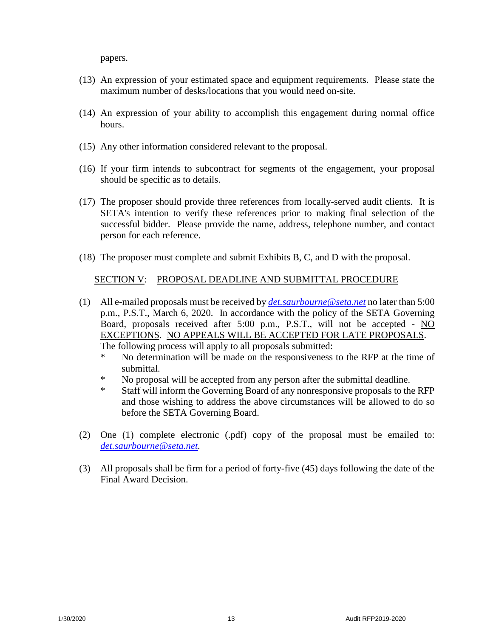papers.

- (13) An expression of your estimated space and equipment requirements. Please state the maximum number of desks/locations that you would need on-site.
- (14) An expression of your ability to accomplish this engagement during normal office hours.
- (15) Any other information considered relevant to the proposal.
- (16) If your firm intends to subcontract for segments of the engagement, your proposal should be specific as to details.
- (17) The proposer should provide three references from locally-served audit clients. It is SETA's intention to verify these references prior to making final selection of the successful bidder. Please provide the name, address, telephone number, and contact person for each reference.
- (18) The proposer must complete and submit Exhibits B, C, and D with the proposal.

#### SECTION V: PROPOSAL DEADLINE AND SUBMITTAL PROCEDURE

- (1) All e-mailed proposals must be received by *[det.saurbourne@seta.net](mailto:loretta.su@seta.net)* no later than 5:00 p.m., P.S.T., March 6, 2020. In accordance with the policy of the SETA Governing Board, proposals received after 5:00 p.m., P.S.T., will not be accepted - NO EXCEPTIONS. NO APPEALS WILL BE ACCEPTED FOR LATE PROPOSALS. The following process will apply to all proposals submitted:
	- No determination will be made on the responsiveness to the RFP at the time of submittal.
	- \* No proposal will be accepted from any person after the submittal deadline.<br>\* Staff will inform the Governing Board of any popresponsive proposals to the
	- Staff will inform the Governing Board of any nonresponsive proposals to the RFP and those wishing to address the above circumstances will be allowed to do so before the SETA Governing Board.
- (2) One (1) complete electronic (.pdf) copy of the proposal must be emailed to: *[det.saurbourne@seta.net.](mailto:det.saurbourne@seta.net)*
- (3) All proposals shall be firm for a period of forty-five (45) days following the date of the Final Award Decision.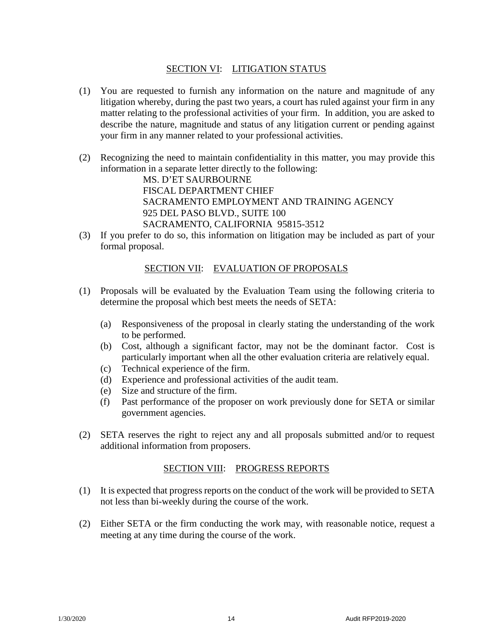# SECTION VI: LITIGATION STATUS

- (1) You are requested to furnish any information on the nature and magnitude of any litigation whereby, during the past two years, a court has ruled against your firm in any matter relating to the professional activities of your firm. In addition, you are asked to describe the nature, magnitude and status of any litigation current or pending against your firm in any manner related to your professional activities.
- (2) Recognizing the need to maintain confidentiality in this matter, you may provide this information in a separate letter directly to the following:

MS. D'ET SAURBOURNE FISCAL DEPARTMENT CHIEF SACRAMENTO EMPLOYMENT AND TRAINING AGENCY 925 DEL PASO BLVD., SUITE 100 SACRAMENTO, CALIFORNIA 95815-3512

(3) If you prefer to do so, this information on litigation may be included as part of your formal proposal.

### SECTION VII: EVALUATION OF PROPOSALS

- (1) Proposals will be evaluated by the Evaluation Team using the following criteria to determine the proposal which best meets the needs of SETA:
	- (a) Responsiveness of the proposal in clearly stating the understanding of the work to be performed.
	- (b) Cost, although a significant factor, may not be the dominant factor. Cost is particularly important when all the other evaluation criteria are relatively equal.
	- (c) Technical experience of the firm.
	- (d) Experience and professional activities of the audit team.
	- (e) Size and structure of the firm.
	- (f) Past performance of the proposer on work previously done for SETA or similar government agencies.
- (2) SETA reserves the right to reject any and all proposals submitted and/or to request additional information from proposers.

#### SECTION VIII: PROGRESS REPORTS

- (1) It is expected that progress reports on the conduct of the work will be provided to SETA not less than bi-weekly during the course of the work.
- (2) Either SETA or the firm conducting the work may, with reasonable notice, request a meeting at any time during the course of the work.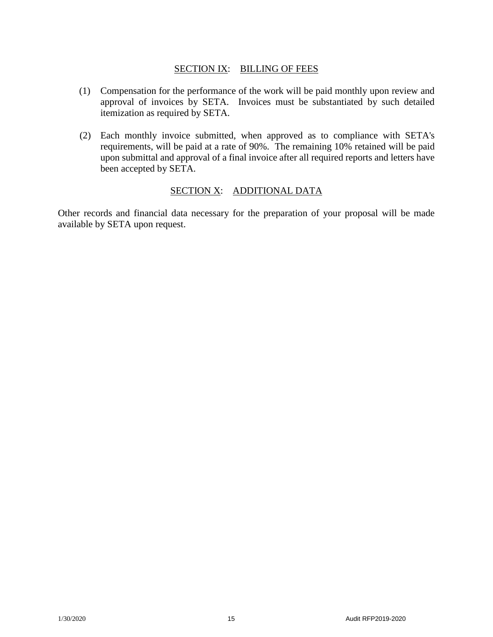### SECTION IX: BILLING OF FEES

- (1) Compensation for the performance of the work will be paid monthly upon review and approval of invoices by SETA. Invoices must be substantiated by such detailed itemization as required by SETA.
- (2) Each monthly invoice submitted, when approved as to compliance with SETA's requirements, will be paid at a rate of 90%. The remaining 10% retained will be paid upon submittal and approval of a final invoice after all required reports and letters have been accepted by SETA.

#### SECTION X: ADDITIONAL DATA

Other records and financial data necessary for the preparation of your proposal will be made available by SETA upon request.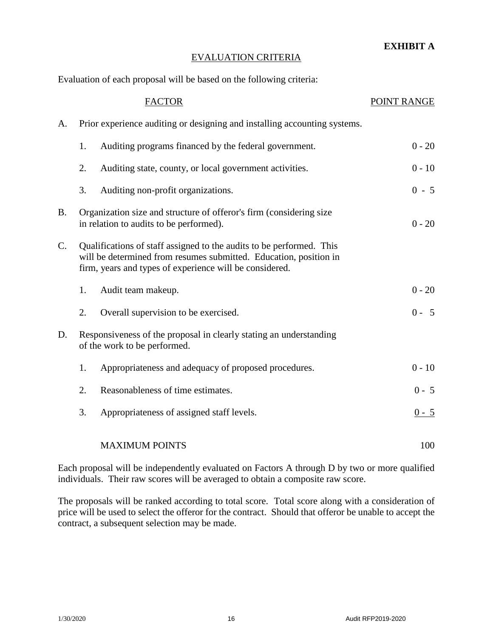#### EVALUATION CRITERIA

Evaluation of each proposal will be based on the following criteria:

|                 |                                                                                                                                                                                                      | <b>FACTOR</b>                                                                                                  | POINT RANGE |  |
|-----------------|------------------------------------------------------------------------------------------------------------------------------------------------------------------------------------------------------|----------------------------------------------------------------------------------------------------------------|-------------|--|
| A.              |                                                                                                                                                                                                      | Prior experience auditing or designing and installing accounting systems.                                      |             |  |
|                 | 1.                                                                                                                                                                                                   | Auditing programs financed by the federal government.                                                          | $0 - 20$    |  |
|                 | 2.                                                                                                                                                                                                   | Auditing state, county, or local government activities.                                                        | $0 - 10$    |  |
|                 | 3.                                                                                                                                                                                                   | Auditing non-profit organizations.                                                                             | $0 - 5$     |  |
| <b>B.</b>       |                                                                                                                                                                                                      | Organization size and structure of offeror's firm (considering size<br>in relation to audits to be performed). | $0 - 20$    |  |
| $\mathcal{C}$ . | Qualifications of staff assigned to the audits to be performed. This<br>will be determined from resumes submitted. Education, position in<br>firm, years and types of experience will be considered. |                                                                                                                |             |  |
|                 | 1.                                                                                                                                                                                                   | Audit team makeup.                                                                                             | $0 - 20$    |  |
|                 | 2.                                                                                                                                                                                                   | Overall supervision to be exercised.                                                                           | $0 - 5$     |  |
| D.              |                                                                                                                                                                                                      | Responsiveness of the proposal in clearly stating an understanding<br>of the work to be performed.             |             |  |
|                 | 1.                                                                                                                                                                                                   | Appropriateness and adequacy of proposed procedures.                                                           | $0 - 10$    |  |
|                 | 2.                                                                                                                                                                                                   | Reasonableness of time estimates.                                                                              | $0 - 5$     |  |
|                 | 3.                                                                                                                                                                                                   | Appropriateness of assigned staff levels.                                                                      | $0 - 5$     |  |
|                 |                                                                                                                                                                                                      |                                                                                                                |             |  |

Each proposal will be independently evaluated on Factors A through D by two or more qualified individuals. Their raw scores will be averaged to obtain a composite raw score.

MAXIMUM POINTS 100

The proposals will be ranked according to total score. Total score along with a consideration of price will be used to select the offeror for the contract. Should that offeror be unable to accept the contract, a subsequent selection may be made.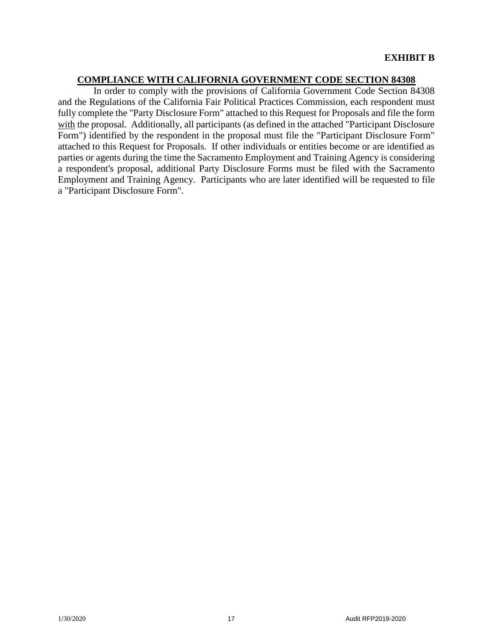#### **COMPLIANCE WITH CALIFORNIA GOVERNMENT CODE SECTION 84308**

In order to comply with the provisions of California Government Code Section 84308 and the Regulations of the California Fair Political Practices Commission, each respondent must fully complete the "Party Disclosure Form" attached to this Request for Proposals and file the form with the proposal. Additionally, all participants (as defined in the attached "Participant Disclosure Form") identified by the respondent in the proposal must file the "Participant Disclosure Form" attached to this Request for Proposals. If other individuals or entities become or are identified as parties or agents during the time the Sacramento Employment and Training Agency is considering a respondent's proposal, additional Party Disclosure Forms must be filed with the Sacramento Employment and Training Agency. Participants who are later identified will be requested to file a "Participant Disclosure Form".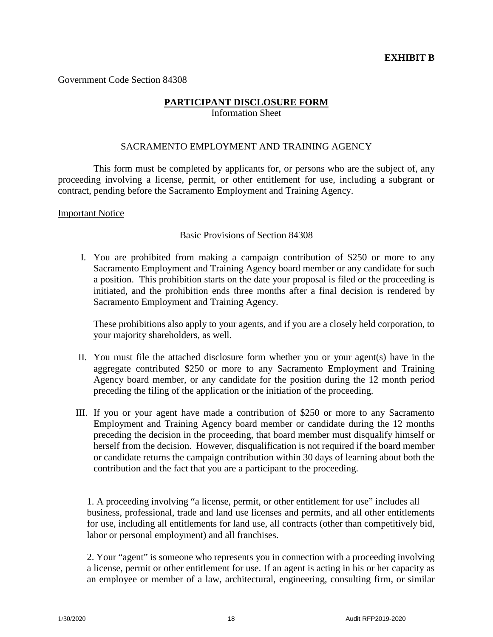Government Code Section 84308

#### **PARTICIPANT DISCLOSURE FORM**

Information Sheet

#### SACRAMENTO EMPLOYMENT AND TRAINING AGENCY

This form must be completed by applicants for, or persons who are the subject of, any proceeding involving a license, permit, or other entitlement for use, including a subgrant or contract, pending before the Sacramento Employment and Training Agency.

#### Important Notice

#### Basic Provisions of Section 84308

 I. You are prohibited from making a campaign contribution of \$250 or more to any Sacramento Employment and Training Agency board member or any candidate for such a position. This prohibition starts on the date your proposal is filed or the proceeding is initiated, and the prohibition ends three months after a final decision is rendered by Sacramento Employment and Training Agency.

These prohibitions also apply to your agents, and if you are a closely held corporation, to your majority shareholders, as well.

- II. You must file the attached disclosure form whether you or your agent(s) have in the aggregate contributed \$250 or more to any Sacramento Employment and Training Agency board member, or any candidate for the position during the 12 month period preceding the filing of the application or the initiation of the proceeding.
- III. If you or your agent have made a contribution of \$250 or more to any Sacramento Employment and Training Agency board member or candidate during the 12 months preceding the decision in the proceeding, that board member must disqualify himself or herself from the decision. However, disqualification is not required if the board member or candidate returns the campaign contribution within 30 days of learning about both the contribution and the fact that you are a participant to the proceeding.

1. A proceeding involving "a license, permit, or other entitlement for use" includes all business, professional, trade and land use licenses and permits, and all other entitlements for use, including all entitlements for land use, all contracts (other than competitively bid, labor or personal employment) and all franchises.

2. Your "agent" is someone who represents you in connection with a proceeding involving a license, permit or other entitlement for use. If an agent is acting in his or her capacity as an employee or member of a law, architectural, engineering, consulting firm, or similar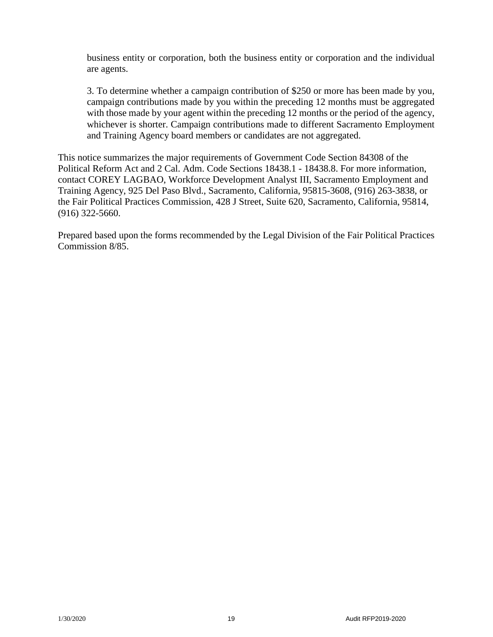business entity or corporation, both the business entity or corporation and the individual are agents.

3. To determine whether a campaign contribution of \$250 or more has been made by you, campaign contributions made by you within the preceding 12 months must be aggregated with those made by your agent within the preceding 12 months or the period of the agency, whichever is shorter. Campaign contributions made to different Sacramento Employment and Training Agency board members or candidates are not aggregated.

This notice summarizes the major requirements of Government Code Section 84308 of the Political Reform Act and 2 Cal. Adm. Code Sections 18438.1 - 18438.8. For more information, contact COREY LAGBAO, Workforce Development Analyst III, Sacramento Employment and Training Agency, 925 Del Paso Blvd., Sacramento, California, 95815-3608, (916) 263-3838, or the Fair Political Practices Commission, 428 J Street, Suite 620, Sacramento, California, 95814, (916) 322-5660.

Prepared based upon the forms recommended by the Legal Division of the Fair Political Practices Commission 8/85.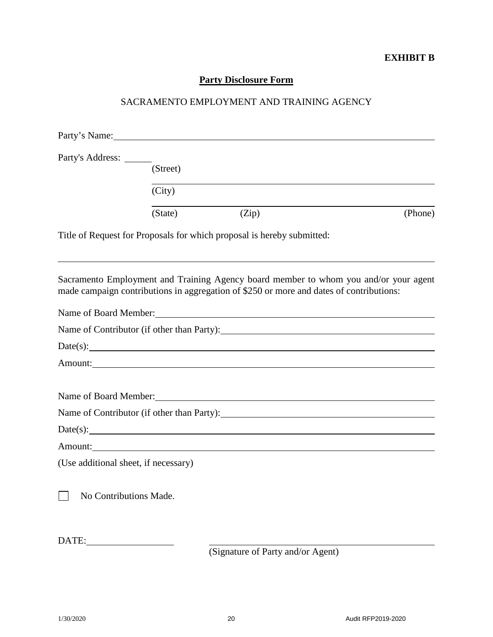### **EXHIBIT B**

# **Party Disclosure Form**

# SACRAMENTO EMPLOYMENT AND TRAINING AGENCY

| Party's Name: 2008 |                                      |                                                                                                                                                                                                         |                                                                                                                                                                                                                                      |  |
|--------------------|--------------------------------------|---------------------------------------------------------------------------------------------------------------------------------------------------------------------------------------------------------|--------------------------------------------------------------------------------------------------------------------------------------------------------------------------------------------------------------------------------------|--|
|                    |                                      |                                                                                                                                                                                                         |                                                                                                                                                                                                                                      |  |
|                    | (Street)                             |                                                                                                                                                                                                         |                                                                                                                                                                                                                                      |  |
|                    | (City)                               |                                                                                                                                                                                                         |                                                                                                                                                                                                                                      |  |
|                    | (State)                              | (Zip)                                                                                                                                                                                                   | (Phone)                                                                                                                                                                                                                              |  |
|                    |                                      | Title of Request for Proposals for which proposal is hereby submitted:                                                                                                                                  |                                                                                                                                                                                                                                      |  |
|                    |                                      | made campaign contributions in aggregation of \$250 or more and dates of contributions:                                                                                                                 | Sacramento Employment and Training Agency board member to whom you and/or your agent                                                                                                                                                 |  |
|                    |                                      | Name of Board Member:<br><u> and</u> <b>Example 2018 Example 2018 Example 2018 Example 2018 Example 2018 Example 2018 Example 2018 Example 2018 Example 2018 Example 2018 Example 2018 Example 2018</b> |                                                                                                                                                                                                                                      |  |
|                    |                                      |                                                                                                                                                                                                         |                                                                                                                                                                                                                                      |  |
|                    |                                      | Date(s):                                                                                                                                                                                                |                                                                                                                                                                                                                                      |  |
|                    |                                      |                                                                                                                                                                                                         | Amount: <u>contract and a series of the series of the series of the series of the series of the series of the series of the series of the series of the series of the series of the series of the series of the series of the se</u> |  |
|                    |                                      |                                                                                                                                                                                                         | Name of Board Member:<br><u>Name of Board Member:</u>                                                                                                                                                                                |  |
|                    |                                      |                                                                                                                                                                                                         |                                                                                                                                                                                                                                      |  |
|                    |                                      |                                                                                                                                                                                                         | Date(s):                                                                                                                                                                                                                             |  |
|                    |                                      |                                                                                                                                                                                                         |                                                                                                                                                                                                                                      |  |
|                    | (Use additional sheet, if necessary) |                                                                                                                                                                                                         |                                                                                                                                                                                                                                      |  |
|                    | No Contributions Made.               |                                                                                                                                                                                                         |                                                                                                                                                                                                                                      |  |
| DATE:              |                                      |                                                                                                                                                                                                         |                                                                                                                                                                                                                                      |  |

(Signature of Party and/or Agent)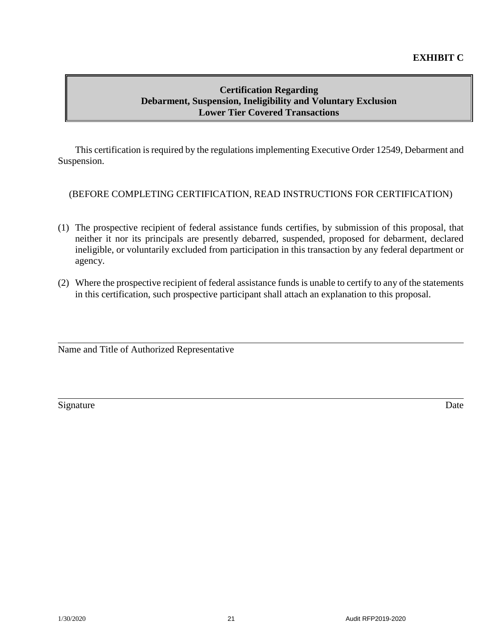# **Certification Regarding Debarment, Suspension, Ineligibility and Voluntary Exclusion Lower Tier Covered Transactions**

This certification is required by the regulations implementing Executive Order 12549, Debarment and Suspension.

(BEFORE COMPLETING CERTIFICATION, READ INSTRUCTIONS FOR CERTIFICATION)

- (1) The prospective recipient of federal assistance funds certifies, by submission of this proposal, that neither it nor its principals are presently debarred, suspended, proposed for debarment, declared ineligible, or voluntarily excluded from participation in this transaction by any federal department or agency.
- (2) Where the prospective recipient of federal assistance funds is unable to certify to any of the statements in this certification, such prospective participant shall attach an explanation to this proposal.

Name and Title of Authorized Representative

Signature Date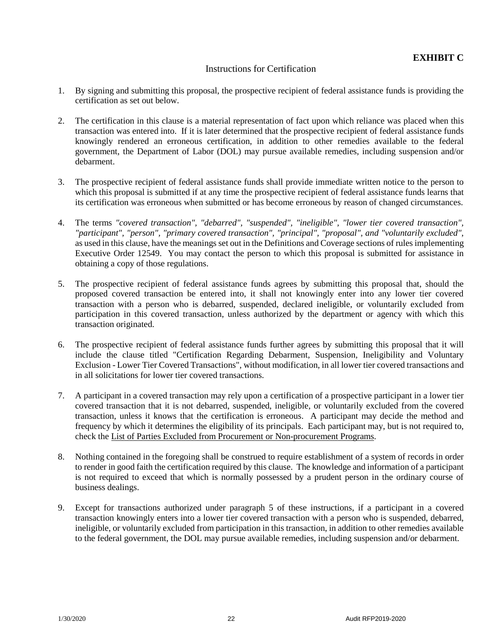# Instructions for Certification

- 1. By signing and submitting this proposal, the prospective recipient of federal assistance funds is providing the certification as set out below.
- 2. The certification in this clause is a material representation of fact upon which reliance was placed when this transaction was entered into. If it is later determined that the prospective recipient of federal assistance funds knowingly rendered an erroneous certification, in addition to other remedies available to the federal government, the Department of Labor (DOL) may pursue available remedies, including suspension and/or debarment.
- 3. The prospective recipient of federal assistance funds shall provide immediate written notice to the person to which this proposal is submitted if at any time the prospective recipient of federal assistance funds learns that its certification was erroneous when submitted or has become erroneous by reason of changed circumstances.
- 4. The terms *"covered transaction", "debarred", "suspended", "ineligible", "lower tier covered transaction", "participant", "person", "primary covered transaction", "principal", "proposal", and "voluntarily excluded"*, as used in this clause, have the meanings set out in the Definitions and Coverage sections of rules implementing Executive Order 12549. You may contact the person to which this proposal is submitted for assistance in obtaining a copy of those regulations.
- 5. The prospective recipient of federal assistance funds agrees by submitting this proposal that, should the proposed covered transaction be entered into, it shall not knowingly enter into any lower tier covered transaction with a person who is debarred, suspended, declared ineligible, or voluntarily excluded from participation in this covered transaction, unless authorized by the department or agency with which this transaction originated.
- 6. The prospective recipient of federal assistance funds further agrees by submitting this proposal that it will include the clause titled "Certification Regarding Debarment, Suspension, Ineligibility and Voluntary Exclusion - Lower Tier Covered Transactions", without modification, in all lower tier covered transactions and in all solicitations for lower tier covered transactions.
- 7. A participant in a covered transaction may rely upon a certification of a prospective participant in a lower tier covered transaction that it is not debarred, suspended, ineligible, or voluntarily excluded from the covered transaction, unless it knows that the certification is erroneous. A participant may decide the method and frequency by which it determines the eligibility of its principals. Each participant may, but is not required to, check the List of Parties Excluded from Procurement or Non-procurement Programs.
- 8. Nothing contained in the foregoing shall be construed to require establishment of a system of records in order to render in good faith the certification required by this clause. The knowledge and information of a participant is not required to exceed that which is normally possessed by a prudent person in the ordinary course of business dealings.
- 9. Except for transactions authorized under paragraph 5 of these instructions, if a participant in a covered transaction knowingly enters into a lower tier covered transaction with a person who is suspended, debarred, ineligible, or voluntarily excluded from participation in this transaction, in addition to other remedies available to the federal government, the DOL may pursue available remedies, including suspension and/or debarment.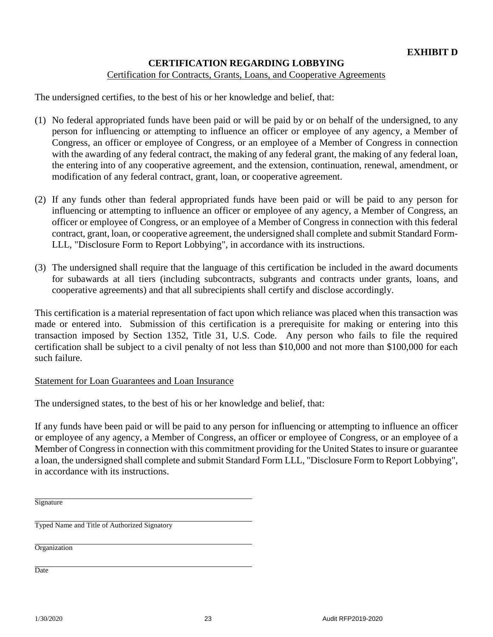#### **CERTIFICATION REGARDING LOBBYING**

#### Certification for Contracts, Grants, Loans, and Cooperative Agreements

The undersigned certifies, to the best of his or her knowledge and belief, that:

- (1) No federal appropriated funds have been paid or will be paid by or on behalf of the undersigned, to any person for influencing or attempting to influence an officer or employee of any agency, a Member of Congress, an officer or employee of Congress, or an employee of a Member of Congress in connection with the awarding of any federal contract, the making of any federal grant, the making of any federal loan, the entering into of any cooperative agreement, and the extension, continuation, renewal, amendment, or modification of any federal contract, grant, loan, or cooperative agreement.
- (2) If any funds other than federal appropriated funds have been paid or will be paid to any person for influencing or attempting to influence an officer or employee of any agency, a Member of Congress, an officer or employee of Congress, or an employee of a Member of Congress in connection with this federal contract, grant, loan, or cooperative agreement, the undersigned shall complete and submit Standard Form-LLL, "Disclosure Form to Report Lobbying", in accordance with its instructions.
- (3) The undersigned shall require that the language of this certification be included in the award documents for subawards at all tiers (including subcontracts, subgrants and contracts under grants, loans, and cooperative agreements) and that all subrecipients shall certify and disclose accordingly.

This certification is a material representation of fact upon which reliance was placed when this transaction was made or entered into. Submission of this certification is a prerequisite for making or entering into this transaction imposed by Section 1352, Title 31, U.S. Code. Any person who fails to file the required certification shall be subject to a civil penalty of not less than \$10,000 and not more than \$100,000 for each such failure.

#### Statement for Loan Guarantees and Loan Insurance

The undersigned states, to the best of his or her knowledge and belief, that:

If any funds have been paid or will be paid to any person for influencing or attempting to influence an officer or employee of any agency, a Member of Congress, an officer or employee of Congress, or an employee of a Member of Congress in connection with this commitment providing for the United States to insure or guarantee a loan, the undersigned shall complete and submit Standard Form LLL, "Disclosure Form to Report Lobbying", in accordance with its instructions.

| Signature |  |  |  |
|-----------|--|--|--|
|           |  |  |  |
|           |  |  |  |
|           |  |  |  |

Typed Name and Title of Authorized Signatory

**Organization** 

Date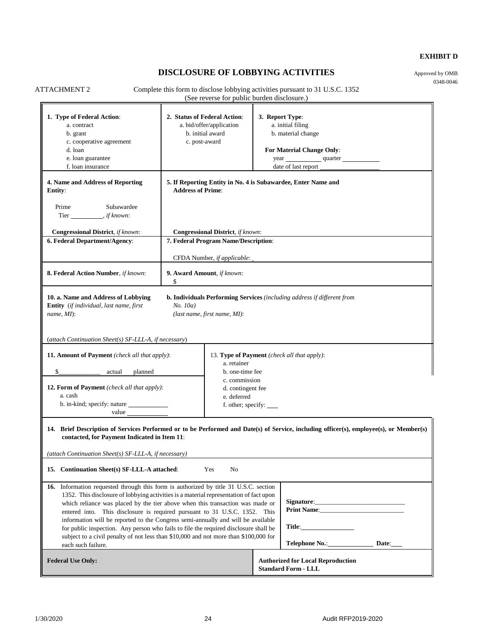#### **EXHIBIT D**

0348-0046

# **DISCLOSURE OF LOBBYING ACTIVITIES** Approved by OMB

| <b>Federal Use Only:</b>                                                                                                                                                                                                                                                                                                                                                                                                                                                                                                                                                                                                                |                                                                                               | <b>Authorized for Local Reproduction</b><br><b>Standard Form - LLL</b>                                                                 |  |  |
|-----------------------------------------------------------------------------------------------------------------------------------------------------------------------------------------------------------------------------------------------------------------------------------------------------------------------------------------------------------------------------------------------------------------------------------------------------------------------------------------------------------------------------------------------------------------------------------------------------------------------------------------|-----------------------------------------------------------------------------------------------|----------------------------------------------------------------------------------------------------------------------------------------|--|--|
| 16. Information requested through this form is authorized by title 31 U.S.C. section<br>1352. This disclosure of lobbying activities is a material representation of fact upon<br>which reliance was placed by the tier above when this transaction was made or<br>entered into. This disclosure is required pursuant to 31 U.S.C. 1352. This<br>information will be reported to the Congress semi-annually and will be available<br>for public inspection. Any person who fails to file the required disclosure shall be<br>subject to a civil penalty of not less than \$10,000 and not more than \$100,000 for<br>each such failure. |                                                                                               | $\text{Title:}$<br>Telephone No.: Date:                                                                                                |  |  |
| 15. Continuation Sheet(s) SF-LLL-A attached:                                                                                                                                                                                                                                                                                                                                                                                                                                                                                                                                                                                            | Yes<br>No                                                                                     |                                                                                                                                        |  |  |
| (attach Continuation Sheet(s) SF-LLL-A, if necessary)                                                                                                                                                                                                                                                                                                                                                                                                                                                                                                                                                                                   |                                                                                               |                                                                                                                                        |  |  |
| contacted, for Payment Indicated in Item 11:                                                                                                                                                                                                                                                                                                                                                                                                                                                                                                                                                                                            |                                                                                               | 14. Brief Description of Services Performed or to be Performed and Date(s) of Service, including officer(s), employee(s), or Member(s) |  |  |
| b. in-kind; specify: nature<br>value $\frac{\ }{\ }$                                                                                                                                                                                                                                                                                                                                                                                                                                                                                                                                                                                    |                                                                                               | f. other; specify: ____                                                                                                                |  |  |
| 12. Form of Payment (check all that apply):<br>a. cash                                                                                                                                                                                                                                                                                                                                                                                                                                                                                                                                                                                  |                                                                                               | d. contingent fee<br>e. deferred                                                                                                       |  |  |
| \$<br>actual<br>planned                                                                                                                                                                                                                                                                                                                                                                                                                                                                                                                                                                                                                 |                                                                                               | a. retainer<br>b. one-time fee<br>c. commission                                                                                        |  |  |
| (attach Continuation Sheet(s) SF-LLL-A, if necessary)<br>11. Amount of Payment (check all that apply):                                                                                                                                                                                                                                                                                                                                                                                                                                                                                                                                  |                                                                                               | 13. Type of Payment (check all that apply):                                                                                            |  |  |
| 10. a. Name and Address of Lobbying<br>Entity (if individual, last name, first<br>name, MI:                                                                                                                                                                                                                                                                                                                                                                                                                                                                                                                                             | No. 10a)<br>(last name, first name, MI):                                                      | <b>b. Individuals Performing Services</b> (including address if different from                                                         |  |  |
| 8. Federal Action Number, if known:                                                                                                                                                                                                                                                                                                                                                                                                                                                                                                                                                                                                     | CFDA Number, if applicable:<br>9. Award Amount, if known:<br>\$                               |                                                                                                                                        |  |  |
| 6. Federal Department/Agency:<br>7. Federal Program Name/Description:                                                                                                                                                                                                                                                                                                                                                                                                                                                                                                                                                                   |                                                                                               |                                                                                                                                        |  |  |
| Congressional District, if known:                                                                                                                                                                                                                                                                                                                                                                                                                                                                                                                                                                                                       | Congressional District, if known:                                                             |                                                                                                                                        |  |  |
| Subawardee<br>Prime<br>Tier ______________, if known:                                                                                                                                                                                                                                                                                                                                                                                                                                                                                                                                                                                   |                                                                                               |                                                                                                                                        |  |  |
| 4. Name and Address of Reporting<br>Entity:                                                                                                                                                                                                                                                                                                                                                                                                                                                                                                                                                                                             | <b>Address of Prime:</b>                                                                      | 5. If Reporting Entity in No. 4 is Subawardee, Enter Name and                                                                          |  |  |
| d. loan<br>e. loan guarantee<br>f. loan insurance                                                                                                                                                                                                                                                                                                                                                                                                                                                                                                                                                                                       |                                                                                               | For Material Change Only:<br>date of last report                                                                                       |  |  |
| a. contract<br>b. grant<br>c. cooperative agreement                                                                                                                                                                                                                                                                                                                                                                                                                                                                                                                                                                                     | 2. Status of Federal Action:<br>a. bid/offer/application<br>b. initial award<br>c. post-award | 3. Report Type:<br>a. initial filing<br>b. material change                                                                             |  |  |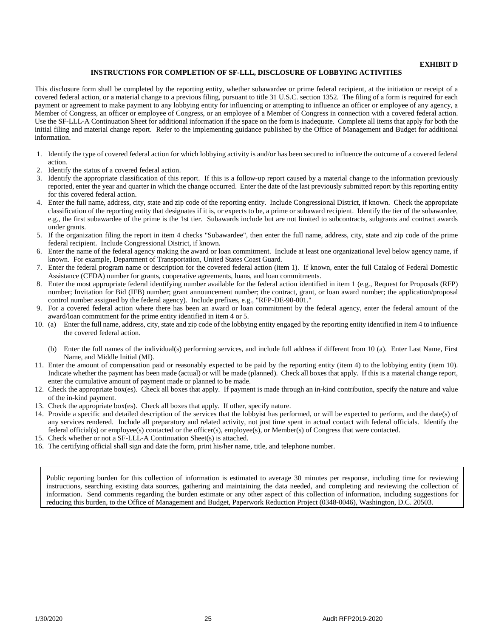#### **INSTRUCTIONS FOR COMPLETION OF SF-LLL, DISCLOSURE OF LOBBYING ACTIVITIES**

This disclosure form shall be completed by the reporting entity, whether subawardee or prime federal recipient, at the initiation or receipt of a covered federal action, or a material change to a previous filing, pursuant to title 31 U.S.C. section 1352. The filing of a form is required for each payment or agreement to make payment to any lobbying entity for influencing or attempting to influence an officer or employee of any agency, a Member of Congress, an officer or employee of Congress, or an employee of a Member of Congress in connection with a covered federal action. Use the SF-LLL-A Continuation Sheet for additional information if the space on the form is inadequate. Complete all items that apply for both the initial filing and material change report. Refer to the implementing guidance published by the Office of Management and Budget for additional information.

- 1. Identify the type of covered federal action for which lobbying activity is and/or has been secured to influence the outcome of a covered federal action.
- 2. Identify the status of a covered federal action.
- 3. Identify the appropriate classification of this report. If this is a follow-up report caused by a material change to the information previously reported, enter the year and quarter in which the change occurred. Enter the date of the last previously submitted report by this reporting entity for this covered federal action.
- 4. Enter the full name, address, city, state and zip code of the reporting entity. Include Congressional District, if known. Check the appropriate classification of the reporting entity that designates if it is, or expects to be, a prime or subaward recipient. Identify the tier of the subawardee, e.g., the first subawardee of the prime is the 1st tier. Subawards include but are not limited to subcontracts, subgrants and contract awards under grants.
- 5. If the organization filing the report in item 4 checks "Subawardee", then enter the full name, address, city, state and zip code of the prime federal recipient. Include Congressional District, if known.
- 6. Enter the name of the federal agency making the award or loan commitment. Include at least one organizational level below agency name, if known. For example, Department of Transportation, United States Coast Guard.
- 7. Enter the federal program name or description for the covered federal action (item 1). If known, enter the full Catalog of Federal Domestic Assistance (CFDA) number for grants, cooperative agreements, loans, and loan commitments.
- 8. Enter the most appropriate federal identifying number available for the federal action identified in item 1 (e.g., Request for Proposals (RFP) number; Invitation for Bid (IFB) number; grant announcement number; the contract, grant, or loan award number; the application/proposal control number assigned by the federal agency). Include prefixes, e.g., "RFP-DE-90-001."
- 9. For a covered federal action where there has been an award or loan commitment by the federal agency, enter the federal amount of the award/loan commitment for the prime entity identified in item 4 or 5.
- 10. (a) Enter the full name, address, city, state and zip code of the lobbying entity engaged by the reporting entity identified in item 4 to influence the covered federal action.
	- (b) Enter the full names of the individual(s) performing services, and include full address if different from 10 (a). Enter Last Name, First Name, and Middle Initial (MI).
- 11. Enter the amount of compensation paid or reasonably expected to be paid by the reporting entity (item 4) to the lobbying entity (item 10). Indicate whether the payment has been made (actual) or will be made (planned). Check all boxes that apply. If this is a material change report, enter the cumulative amount of payment made or planned to be made.
- 12. Check the appropriate box(es). Check all boxes that apply. If payment is made through an in-kind contribution, specify the nature and value of the in-kind payment.
- 13. Check the appropriate box(es). Check all boxes that apply. If other, specify nature.
- 14. Provide a specific and detailed description of the services that the lobbyist has performed, or will be expected to perform, and the date(s) of any services rendered. Include all preparatory and related activity, not just time spent in actual contact with federal officials. Identify the federal official(s) or employee(s) contacted or the officer(s), employee(s), or Member(s) of Congress that were contacted.
- 15. Check whether or not a SF-LLL-A Continuation Sheet(s) is attached.
- 16. The certifying official shall sign and date the form, print his/her name, title, and telephone number.

Public reporting burden for this collection of information is estimated to average 30 minutes per response, including time for reviewing instructions, searching existing data sources, gathering and maintaining the data needed, and completing and reviewing the collection of information. Send comments regarding the burden estimate or any other aspect of this collection of information, including suggestions for reducing this burden, to the Office of Management and Budget, Paperwork Reduction Project (0348-0046), Washington, D.C. 20503.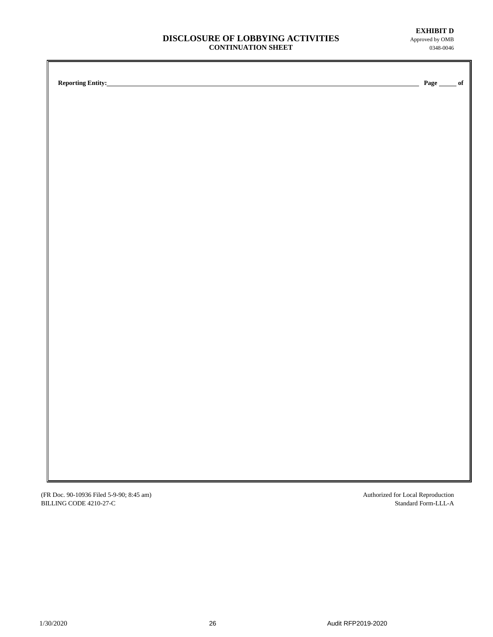#### **DISCLOSURE OF LOBBYING ACTIVITIES** Approved by OMB **CONTINUATION SHEET** 0348-0046

(FR Doc. 90-10936 Filed 5-9-90; 8:45 am) Authorized for Local Reproduction BILLING CODE 4210-27-C Standard Form-LLL-A

Reporting Entity: Page and **Page 2018** and **Page 2018** and **Page 2018** and **Page 2018** and **Page 2018** and **Page 2018** and **Page 2018** and **Page 2018** and **Page 2018** and **Page 2018** and **Page 2018** and **Page 2018** and **Pa** 

| 0348-004 |
|----------|
|          |
|          |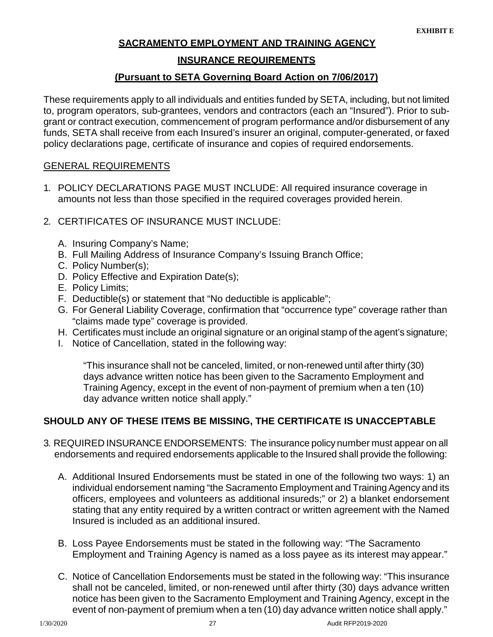# **SACRAMENTO EMPLOYMENT AND TRAINING AGENCY**

# **INSURANCE REQUIREMENTS**

# **(Pursuant to SETA Governing Board Action on 7/06/2017)**

These requirements apply to all individuals and entities funded by SETA, including, but not limited to, program operators, sub-grantees, vendors and contractors (each an "Insured"). Prior to subgrant or contract execution, commencement of program performance and/or disbursement of any funds, SETA shall receive from each Insured's insurer an original, computer-generated, or faxed policy declarations page, certificate of insurance and copies of required endorsements.

# GENERAL REQUIREMENTS

- 1. POLICY DECLARATIONS PAGE MUST INCLUDE: All required insurance coverage in amounts not less than those specified in the required coverages provided herein.
- 2. CERTIFICATES OF INSURANCE MUST INCLUDE:
	- A. Insuring Company's Name;
	- B. Full Mailing Address of Insurance Company's Issuing Branch Office;
	- C. Policy Number(s);
	- D. Policy Effective and Expiration Date(s);
	- E. Policy Limits;
	- F. Deductible(s) or statement that "No deductible is applicable";
	- G. For General Liability Coverage, confirmation that "occurrence type" coverage rather than "claims made type" coverage is provided.
	- H. Certificates must include an original signature or an original stamp of the agent's signature;
	- I. Notice of Cancellation, stated in the following way:

"This insurance shall not be canceled, limited, or non-renewed until after thirty (30) days advance written notice has been given to the Sacramento Employment and Training Agency, except in the event of non-payment of premium when a ten (10) day advance written notice shall apply."

# **SHOULD ANY OF THESE ITEMS BE MISSING, THE CERTIFICATE IS UNACCEPTABLE**

- 3. REQUIRED INSURANCE ENDORSEMENTS: The insurance policy number must appear on all endorsements and required endorsements applicable to the Insured shall provide the following:
	- A. Additional Insured Endorsements must be stated in one of the following two ways: 1) an individual endorsement naming "the Sacramento Employment and Training Agency and its officers, employees and volunteers as additional insureds;" or 2) a blanket endorsement stating that any entity required by a written contract or written agreement with the Named Insured is included as an additional insured.
	- B. Loss Payee Endorsements must be stated in the following way: "The Sacramento Employment and Training Agency is named as a loss payee as its interest may appear."
	- C. Notice of Cancellation Endorsements must be stated in the following way: "This insurance shall not be canceled, limited, or non-renewed until after thirty (30) days advance written notice has been given to the Sacramento Employment and Training Agency, except in the event of non-payment of premium when a ten (10) day advance written notice shall apply."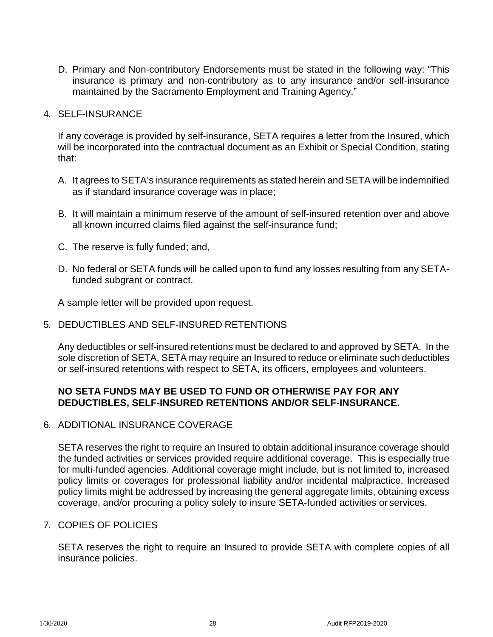D. Primary and Non-contributory Endorsements must be stated in the following way: "This insurance is primary and non-contributory as to any insurance and/or self-insurance maintained by the Sacramento Employment and Training Agency."

#### 4. SELF-INSURANCE

If any coverage is provided by self-insurance, SETA requires a letter from the Insured, which will be incorporated into the contractual document as an Exhibit or Special Condition, stating that:

- A. It agrees to SETA's insurance requirements as stated herein and SETA will be indemnified as if standard insurance coverage was in place;
- B. It will maintain a minimum reserve of the amount of self-insured retention over and above all known incurred claims filed against the self-insurance fund;
- C. The reserve is fully funded; and,
- D. No federal or SETA funds will be called upon to fund any losses resulting from any SETAfunded subgrant or contract.

A sample letter will be provided upon request.

5. DEDUCTIBLES AND SELF-INSURED RETENTIONS

Any deductibles or self-insured retentions must be declared to and approved by SETA. In the sole discretion of SETA, SETA may require an Insured to reduce or eliminate such deductibles or self-insured retentions with respect to SETA, its officers, employees and volunteers.

# **NO SETA FUNDS MAY BE USED TO FUND OR OTHERWISE PAY FOR ANY DEDUCTIBLES, SELF-INSURED RETENTIONS AND/OR SELF-INSURANCE.**

6. ADDITIONAL INSURANCE COVERAGE

SETA reserves the right to require an Insured to obtain additional insurance coverage should the funded activities or services provided require additional coverage. This is especially true for multi-funded agencies. Additional coverage might include, but is not limited to, increased policy limits or coverages for professional liability and/or incidental malpractice. Increased policy limits might be addressed by increasing the general aggregate limits, obtaining excess coverage, and/or procuring a policy solely to insure SETA-funded activities or services.

7. COPIES OF POLICIES

SETA reserves the right to require an Insured to provide SETA with complete copies of all insurance policies.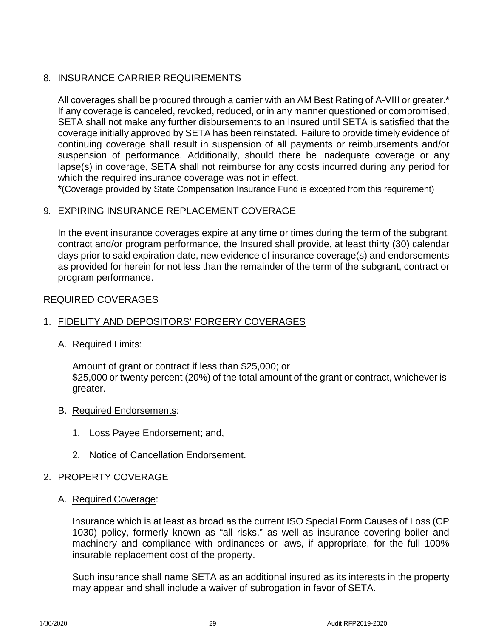# 8. INSURANCE CARRIER REQUIREMENTS

All coverages shall be procured through a carrier with an AM Best Rating of A-VIII or greater.\* If any coverage is canceled, revoked, reduced, or in any manner questioned or compromised, SETA shall not make any further disbursements to an Insured until SETA is satisfied that the coverage initially approved by SETA has been reinstated. Failure to provide timely evidence of continuing coverage shall result in suspension of all payments or reimbursements and/or suspension of performance. Additionally, should there be inadequate coverage or any lapse(s) in coverage, SETA shall not reimburse for any costs incurred during any period for which the required insurance coverage was not in effect.

\*(Coverage provided by State Compensation Insurance Fund is excepted from this requirement)

# 9. EXPIRING INSURANCE REPLACEMENT COVERAGE

In the event insurance coverages expire at any time or times during the term of the subgrant, contract and/or program performance, the Insured shall provide, at least thirty (30) calendar days prior to said expiration date, new evidence of insurance coverage(s) and endorsements as provided for herein for not less than the remainder of the term of the subgrant, contract or program performance.

# REQUIRED COVERAGES

# 1. FIDELITY AND DEPOSITORS' FORGERY COVERAGES

# A. Required Limits:

Amount of grant or contract if less than \$25,000; or \$25,000 or twenty percent (20%) of the total amount of the grant or contract, whichever is greater.

# B. Required Endorsements:

- 1. Loss Payee Endorsement; and,
- 2. Notice of Cancellation Endorsement.

# 2. PROPERTY COVERAGE

# A. Required Coverage:

Insurance which is at least as broad as the current ISO Special Form Causes of Loss (CP 1030) policy, formerly known as "all risks," as well as insurance covering boiler and machinery and compliance with ordinances or laws, if appropriate, for the full 100% insurable replacement cost of the property.

Such insurance shall name SETA as an additional insured as its interests in the property may appear and shall include a waiver of subrogation in favor of SETA.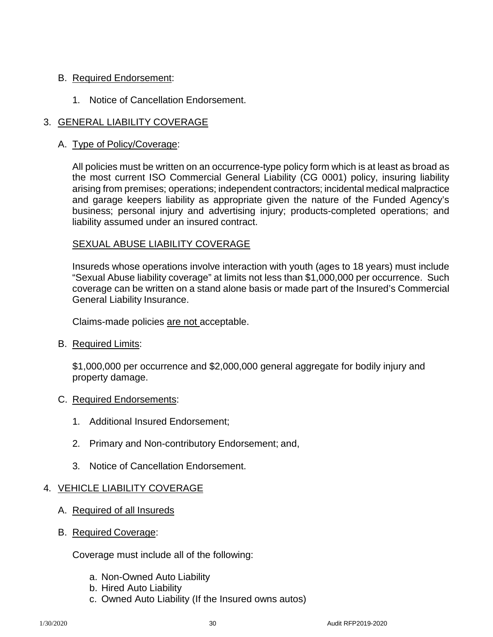# B. Required Endorsement:

1. Notice of Cancellation Endorsement.

# 3. GENERAL LIABILITY COVERAGE

# A. Type of Policy/Coverage:

All policies must be written on an occurrence-type policy form which is at least as broad as the most current ISO Commercial General Liability (CG 0001) policy, insuring liability arising from premises; operations; independent contractors; incidental medical malpractice and garage keepers liability as appropriate given the nature of the Funded Agency's business; personal injury and advertising injury; products-completed operations; and liability assumed under an insured contract.

# SEXUAL ABUSE LIABILITY COVERAGE

Insureds whose operations involve interaction with youth (ages to 18 years) must include "Sexual Abuse liability coverage" at limits not less than \$1,000,000 per occurrence. Such coverage can be written on a stand alone basis or made part of the Insured's Commercial General Liability Insurance.

Claims-made policies are not acceptable.

B. Required Limits:

\$1,000,000 per occurrence and \$2,000,000 general aggregate for bodily injury and property damage.

- C. Required Endorsements:
	- 1. Additional Insured Endorsement;
	- 2. Primary and Non-contributory Endorsement; and,
	- 3. Notice of Cancellation Endorsement.

# 4. VEHICLE LIABILITY COVERAGE

- A. Required of all Insureds
- B. Required Coverage:

Coverage must include all of the following:

- a. Non-Owned Auto Liability
- b. Hired Auto Liability
- c. Owned Auto Liability (If the Insured owns autos)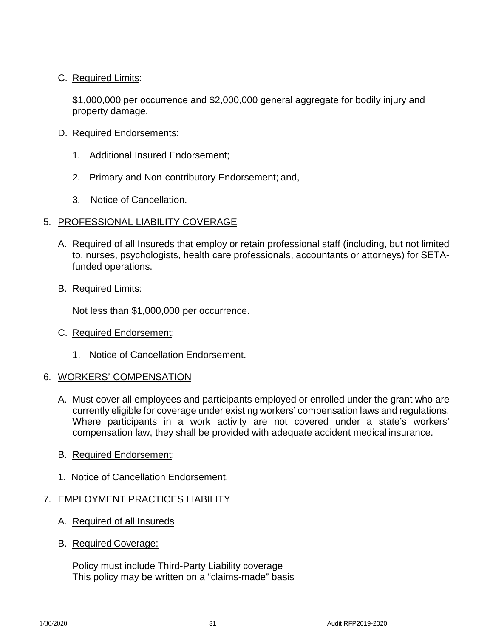# C. Required Limits:

\$1,000,000 per occurrence and \$2,000,000 general aggregate for bodily injury and property damage.

- D. Required Endorsements:
	- 1. Additional Insured Endorsement;
	- 2. Primary and Non-contributory Endorsement; and,
	- 3. Notice of Cancellation.

# 5. PROFESSIONAL LIABILITY COVERAGE

- A. Required of all Insureds that employ or retain professional staff (including, but not limited to, nurses, psychologists, health care professionals, accountants or attorneys) for SETAfunded operations.
- B. Required Limits:

Not less than \$1,000,000 per occurrence.

- C. Required Endorsement:
	- 1. Notice of Cancellation Endorsement.

# 6. WORKERS' COMPENSATION

- A. Must cover all employees and participants employed or enrolled under the grant who are currently eligible for coverage under existing workers' compensation laws and regulations. Where participants in a work activity are not covered under a state's workers' compensation law, they shall be provided with adequate accident medical insurance.
- B. Required Endorsement:
- 1. Notice of Cancellation Endorsement.

# 7. EMPLOYMENT PRACTICES LIABILITY

- A. Required of all Insureds
- B. Required Coverage:

Policy must include Third-Party Liability coverage This policy may be written on a "claims-made" basis